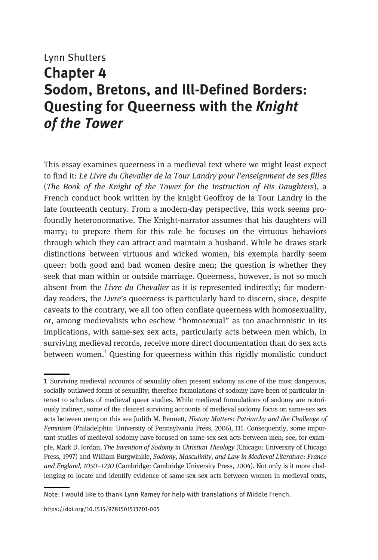# Lynn Shutters Chapter 4 Sodom, Bretons, and Ill-Defined Borders: Questing for Queerness with the Knight of the Tower

This essay examines queerness in a medieval text where we might least expect to find it: Le Livre du Chevalier de la Tour Landry pour l'enseignment de ses filles (The Book of the Knight of the Tower for the Instruction of His Daughters), a French conduct book written by the knight Geoffroy de la Tour Landry in the late fourteenth century. From a modern-day perspective, this work seems profoundly heteronormative. The Knight-narrator assumes that his daughters will marry; to prepare them for this role he focuses on the virtuous behaviors through which they can attract and maintain a husband. While he draws stark distinctions between virtuous and wicked women, his exempla hardly seem queer: both good and bad women desire men; the question is whether they seek that man within or outside marriage. Queerness, however, is not so much absent from the Livre du Chevalier as it is represented indirectly; for modernday readers, the Livre's queerness is particularly hard to discern, since, despite caveats to the contrary, we all too often conflate queerness with homosexuality, or, among medievalists who eschew "homosexual" as too anachronistic in its implications, with same-sex sex acts, particularly acts between men which, in surviving medieval records, receive more direct documentation than do sex acts between women.<sup>1</sup> Questing for queerness within this rigidly moralistic conduct

<sup>1</sup> Surviving medieval accounts of sexuality often present sodomy as one of the most dangerous, socially outlawed forms of sexuality; therefore formulations of sodomy have been of particular interest to scholars of medieval queer studies. While medieval formulations of sodomy are notoriously indirect, some of the clearest surviving accounts of medieval sodomy focus on same-sex sex acts between men; on this see Judith M. Bennett, History Matters: Patriarchy and the Challenge of Feminism (Philadelphia: University of Pennsylvania Press, 2006), 111. Consequently, some important studies of medieval sodomy have focused on same-sex sex acts between men; see, for example, Mark D. Jordan, The Invention of Sodomy in Christian Theology (Chicago: University of Chicago Press, 1997) and William Burgwinkle, Sodomy, Masculinity, and Law in Medieval Literature: France and England, 1050–1230 (Cambridge: Cambridge University Press, 2004). Not only is it more challenging to locate and identify evidence of same-sex sex acts between women in medieval texts,

Note: I would like to thank Lynn Ramey for help with translations of Middle French.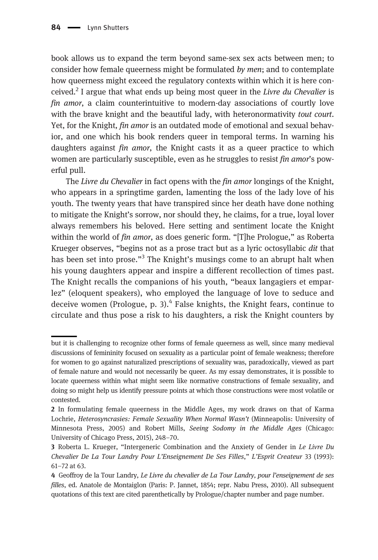book allows us to expand the term beyond same-sex sex acts between men; to consider how female queerness might be formulated by men; and to contemplate how queerness might exceed the regulatory contexts within which it is here conceived.<sup>2</sup> I argue that what ends up being most queer in the Livre du Chevalier is fin amor, a claim counterintuitive to modern-day associations of courtly love with the brave knight and the beautiful lady, with heteronormativity tout court. Yet, for the Knight, *fin amor* is an outdated mode of emotional and sexual behavior, and one which his book renders queer in temporal terms. In warning his daughters against *fin amor*, the Knight casts it as a queer practice to which women are particularly susceptible, even as he struggles to resist *fin amor's* powerful pull.

The Livre du Chevalier in fact opens with the fin amor longings of the Knight, who appears in a springtime garden, lamenting the loss of the lady love of his youth. The twenty years that have transpired since her death have done nothing to mitigate the Knight's sorrow, nor should they, he claims, for a true, loyal lover always remembers his beloved. Here setting and sentiment locate the Knight within the world of *fin amor*, as does generic form. "[T]he Prologue," as Roberta Krueger observes, "begins not as a prose tract but as a lyric octosyllabic dit that has been set into prose."<sup>3</sup> The Knight's musings come to an abrupt halt when his young daughters appear and inspire a different recollection of times past. The Knight recalls the companions of his youth, "beaux langagiers et emparlez" (eloquent speakers), who employed the language of love to seduce and deceive women (Prologue, p. 3). $4$  False knights, the Knight fears, continue to circulate and thus pose a risk to his daughters, a risk the Knight counters by

but it is challenging to recognize other forms of female queerness as well, since many medieval discussions of femininity focused on sexuality as a particular point of female weakness; therefore for women to go against naturalized prescriptions of sexuality was, paradoxically, viewed as part of female nature and would not necessarily be queer. As my essay demonstrates, it is possible to locate queerness within what might seem like normative constructions of female sexuality, and doing so might help us identify pressure points at which those constructions were most volatile or contested.

<sup>2</sup> In formulating female queerness in the Middle Ages, my work draws on that of Karma Lochrie, Heterosyncrasies: Female Sexuality When Normal Wasn't (Minneapolis: University of Minnesota Press, 2005) and Robert Mills, Seeing Sodomy in the Middle Ages (Chicago: University of Chicago Press, 2015), 248–70.

<sup>3</sup> Roberta L. Krueger, "Intergeneric Combination and the Anxiety of Gender in Le Livre Du Chevalier De La Tour Landry Pour L'Enseignement De Ses Filles," L'Esprit Createur 33 (1993): 61–72 at 63.

<sup>4</sup> Geoffroy de la Tour Landry, Le Livre du chevalier de La Tour Landry, pour l'enseignement de ses filles, ed. Anatole de Montaiglon (Paris: P. Jannet, 1854; repr. Nabu Press, 2010). All subsequent quotations of this text are cited parenthetically by Prologue/chapter number and page number.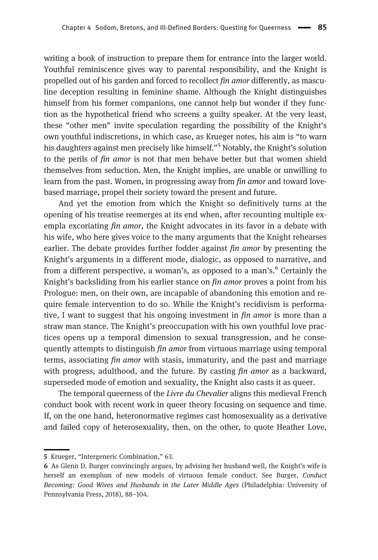writing a book of instruction to prepare them for entrance into the larger world. Youthful reminiscence gives way to parental responsibility, and the Knight is propelled out of his garden and forced to recollect fin amor differently, as masculine deception resulting in feminine shame. Although the Knight distinguishes himself from his former companions, one cannot help but wonder if they function as the hypothetical friend who screens a guilty speaker. At the very least, these "other men" invite speculation regarding the possibility of the Knight's own youthful indiscretions, in which case, as Krueger notes, his aim is "to warn his daughters against men precisely like himself."<sup>5</sup> Notably, the Knight's solution to the perils of fin amor is not that men behave better but that women shield themselves from seduction. Men, the Knight implies, are unable or unwilling to learn from the past. Women, in progressing away from *fin amor* and toward lovebased marriage, propel their society toward the present and future.

And yet the emotion from which the Knight so definitively turns at the opening of his treatise reemerges at its end when, after recounting multiple exempla excoriating *fin amor*, the Knight advocates in its favor in a debate with his wife, who here gives voice to the many arguments that the Knight rehearses earlier. The debate provides further fodder against *fin amor* by presenting the Knight's arguments in a different mode, dialogic, as opposed to narrative, and from a different perspective, a woman's, as opposed to a man's.<sup>6</sup> Certainly the Knight's backsliding from his earlier stance on *fin amor* proves a point from his Prologue: men, on their own, are incapable of abandoning this emotion and require female intervention to do so. While the Knight's recidivism is performative, I want to suggest that his ongoing investment in *fin amor* is more than a straw man stance. The Knight's preoccupation with his own youthful love practices opens up a temporal dimension to sexual transgression, and he consequently attempts to distinguish *fin amor* from virtuous marriage using temporal terms, associating fin amor with stasis, immaturity, and the past and marriage with progress, adulthood, and the future. By casting *fin amor* as a backward, superseded mode of emotion and sexuality, the Knight also casts it as queer.

The temporal queerness of the Livre du Chevalier aligns this medieval French conduct book with recent work in queer theory focusing on sequence and time. If, on the one hand, heteronormative regimes cast homosexuality as a derivative and failed copy of heterosexuality, then, on the other, to quote Heather Love,

<sup>5</sup> Krueger, "Intergeneric Combination," 63.

<sup>6</sup> As Glenn D. Burger convincingly argues, by advising her husband well, the Knight's wife is herself an exemplum of new models of virtuous female conduct. See Burger, Conduct Becoming: Good Wives and Husbands in the Later Middle Ages (Philadelphia: University of Pennsylvania Press, 2018), 88–104.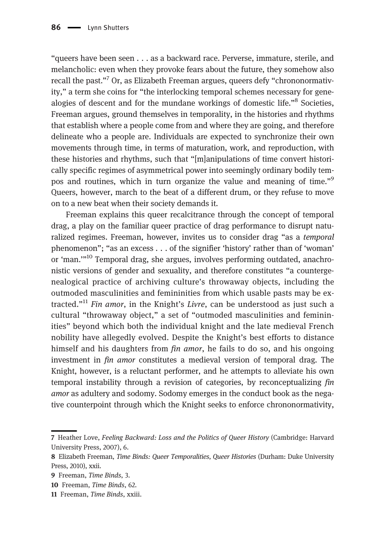"queers have been seen . . . as a backward race. Perverse, immature, sterile, and melancholic: even when they provoke fears about the future, they somehow also recall the past."<sup>7</sup> Or, as Elizabeth Freeman argues, queers defy "chrononormativity," a term she coins for "the interlocking temporal schemes necessary for genealogies of descent and for the mundane workings of domestic life."<sup>8</sup> Societies, Freeman argues, ground themselves in temporality, in the histories and rhythms that establish where a people come from and where they are going, and therefore delineate who a people are. Individuals are expected to synchronize their own movements through time, in terms of maturation, work, and reproduction, with these histories and rhythms, such that "[m]anipulations of time convert historically specific regimes of asymmetrical power into seemingly ordinary bodily tempos and routines, which in turn organize the value and meaning of time."<sup>9</sup> Queers, however, march to the beat of a different drum, or they refuse to move on to a new beat when their society demands it.

Freeman explains this queer recalcitrance through the concept of temporal drag, a play on the familiar queer practice of drag performance to disrupt naturalized regimes. Freeman, however, invites us to consider drag "as a temporal phenomenon"; "as an excess . . . of the signifier 'history' rather than of 'woman' or 'man.'"<sup>10</sup> Temporal drag, she argues, involves performing outdated, anachronistic versions of gender and sexuality, and therefore constitutes "a countergenealogical practice of archiving culture's throwaway objects, including the outmoded masculinities and femininities from which usable pasts may be extracted."<sup>11</sup> Fin amor, in the Knight's Livre, can be understood as just such a cultural "throwaway object," a set of "outmoded masculinities and femininities" beyond which both the individual knight and the late medieval French nobility have allegedly evolved. Despite the Knight's best efforts to distance himself and his daughters from *fin amor*, he fails to do so, and his ongoing investment in fin amor constitutes a medieval version of temporal drag. The Knight, however, is a reluctant performer, and he attempts to alleviate his own temporal instability through a revision of categories, by reconceptualizing fin amor as adultery and sodomy. Sodomy emerges in the conduct book as the negative counterpoint through which the Knight seeks to enforce chrononormativity,

<sup>7</sup> Heather Love, Feeling Backward: Loss and the Politics of Queer History (Cambridge: Harvard University Press, 2007), 6.

<sup>8</sup> Elizabeth Freeman, Time Binds: Queer Temporalities, Queer Histories (Durham: Duke University Press, 2010), xxii.

<sup>9</sup> Freeman, Time Binds, 3.

<sup>10</sup> Freeman, Time Binds, 62.

<sup>11</sup> Freeman, Time Binds, xxiii.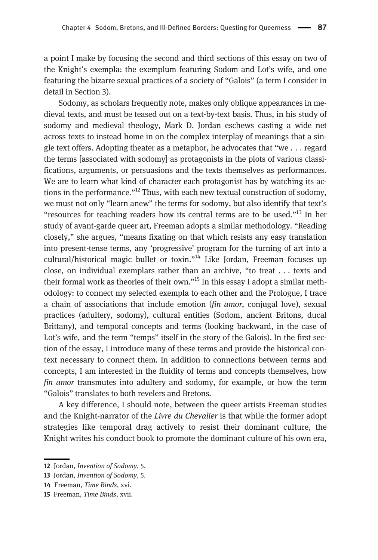a point I make by focusing the second and third sections of this essay on two of the Knight's exempla: the exemplum featuring Sodom and Lot's wife, and one featuring the bizarre sexual practices of a society of "Galois" (a term I consider in detail in Section 3).

Sodomy, as scholars frequently note, makes only oblique appearances in medieval texts, and must be teased out on a text-by-text basis. Thus, in his study of sodomy and medieval theology, Mark D. Jordan eschews casting a wide net across texts to instead home in on the complex interplay of meanings that a single text offers. Adopting theater as a metaphor, he advocates that "we . . . regard the terms [associated with sodomy] as protagonists in the plots of various classifications, arguments, or persuasions and the texts themselves as performances. We are to learn what kind of character each protagonist has by watching its actions in the performance."<sup>12</sup> Thus, with each new textual construction of sodomy, we must not only "learn anew" the terms for sodomy, but also identify that text's "resources for teaching readers how its central terms are to be used."<sup>13</sup> In her study of avant-garde queer art, Freeman adopts a similar methodology. "Reading closely," she argues, "means fixating on that which resists any easy translation into present-tense terms, any 'progressive' program for the turning of art into a cultural/historical magic bullet or toxin."<sup>14</sup> Like Jordan, Freeman focuses up close, on individual exemplars rather than an archive, "to treat . . . texts and their formal work as theories of their own."<sup>15</sup> In this essay I adopt a similar methodology: to connect my selected exempla to each other and the Prologue, I trace a chain of associations that include emotion (fin amor, conjugal love), sexual practices (adultery, sodomy), cultural entities (Sodom, ancient Britons, ducal Brittany), and temporal concepts and terms (looking backward, in the case of Lot's wife, and the term "temps" itself in the story of the Galois). In the first section of the essay, I introduce many of these terms and provide the historical context necessary to connect them. In addition to connections between terms and concepts, I am interested in the fluidity of terms and concepts themselves, how fin amor transmutes into adultery and sodomy, for example, or how the term "Galois" translates to both revelers and Bretons.

A key difference, I should note, between the queer artists Freeman studies and the Knight-narrator of the Livre du Chevalier is that while the former adopt strategies like temporal drag actively to resist their dominant culture, the Knight writes his conduct book to promote the dominant culture of his own era,

<sup>12</sup> Jordan, *Invention of Sodomy*, 5.

<sup>13</sup> Jordan, Invention of Sodomy, 5.

<sup>14</sup> Freeman, Time Binds, xvi.

<sup>15</sup> Freeman, Time Binds, xvii.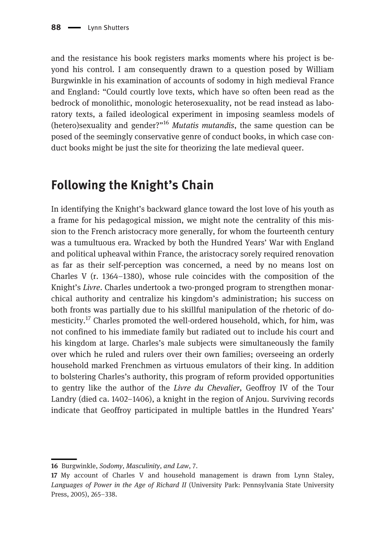and the resistance his book registers marks moments where his project is beyond his control. I am consequently drawn to a question posed by William Burgwinkle in his examination of accounts of sodomy in high medieval France and England: "Could courtly love texts, which have so often been read as the bedrock of monolithic, monologic heterosexuality, not be read instead as laboratory texts, a failed ideological experiment in imposing seamless models of (hetero)sexuality and gender?"<sup>16</sup> Mutatis mutandis, the same question can be posed of the seemingly conservative genre of conduct books, in which case conduct books might be just the site for theorizing the late medieval queer.

## Following the Knight's Chain

In identifying the Knight's backward glance toward the lost love of his youth as a frame for his pedagogical mission, we might note the centrality of this mission to the French aristocracy more generally, for whom the fourteenth century was a tumultuous era. Wracked by both the Hundred Years' War with England and political upheaval within France, the aristocracy sorely required renovation as far as their self-perception was concerned, a need by no means lost on Charles V  $(r, 1364-1380)$ , whose rule coincides with the composition of the Knight's Livre. Charles undertook a two-pronged program to strengthen monarchical authority and centralize his kingdom's administration; his success on both fronts was partially due to his skillful manipulation of the rhetoric of domesticity.<sup>17</sup> Charles promoted the well-ordered household, which, for him, was not confined to his immediate family but radiated out to include his court and his kingdom at large. Charles's male subjects were simultaneously the family over which he ruled and rulers over their own families; overseeing an orderly household marked Frenchmen as virtuous emulators of their king. In addition to bolstering Charles's authority, this program of reform provided opportunities to gentry like the author of the Livre du Chevalier, Geoffroy IV of the Tour Landry (died ca. 1402–1406), a knight in the region of Anjou. Surviving records indicate that Geoffroy participated in multiple battles in the Hundred Years'

<sup>16</sup> Burgwinkle, Sodomy, Masculinity, and Law, 7.

<sup>17</sup> My account of Charles V and household management is drawn from Lynn Staley, Languages of Power in the Age of Richard II (University Park: Pennsylvania State University Press, 2005), 265–338.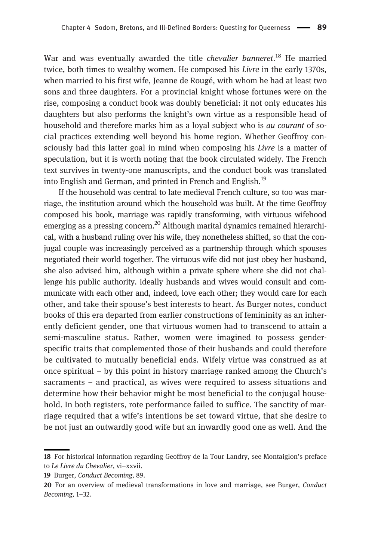War and was eventually awarded the title *chevalier banneret*.<sup>18</sup> He married twice, both times to wealthy women. He composed his Livre in the early 1370s, when married to his first wife, Jeanne de Rougé, with whom he had at least two sons and three daughters. For a provincial knight whose fortunes were on the rise, composing a conduct book was doubly beneficial: it not only educates his daughters but also performs the knight's own virtue as a responsible head of household and therefore marks him as a loyal subject who is *au courant* of social practices extending well beyond his home region. Whether Geoffroy consciously had this latter goal in mind when composing his Livre is a matter of speculation, but it is worth noting that the book circulated widely. The French text survives in twenty-one manuscripts, and the conduct book was translated into English and German, and printed in French and English.<sup>19</sup>

If the household was central to late medieval French culture, so too was marriage, the institution around which the household was built. At the time Geoffroy composed his book, marriage was rapidly transforming, with virtuous wifehood emerging as a pressing concern.<sup>20</sup> Although marital dynamics remained hierarchical, with a husband ruling over his wife, they nonetheless shifted, so that the conjugal couple was increasingly perceived as a partnership through which spouses negotiated their world together. The virtuous wife did not just obey her husband, she also advised him, although within a private sphere where she did not challenge his public authority. Ideally husbands and wives would consult and communicate with each other and, indeed, love each other; they would care for each other, and take their spouse's best interests to heart. As Burger notes, conduct books of this era departed from earlier constructions of femininity as an inherently deficient gender, one that virtuous women had to transcend to attain a semi-masculine status. Rather, women were imagined to possess genderspecific traits that complemented those of their husbands and could therefore be cultivated to mutually beneficial ends. Wifely virtue was construed as at once spiritual – by this point in history marriage ranked among the Church's sacraments – and practical, as wives were required to assess situations and determine how their behavior might be most beneficial to the conjugal household. In both registers, rote performance failed to suffice. The sanctity of marriage required that a wife's intentions be set toward virtue, that she desire to be not just an outwardly good wife but an inwardly good one as well. And the

<sup>18</sup> For historical information regarding Geoffroy de la Tour Landry, see Montaiglon's preface to Le Livre du Chevalier, vi–xxvii.

<sup>19</sup> Burger, Conduct Becoming, 89.

<sup>20</sup> For an overview of medieval transformations in love and marriage, see Burger, Conduct Becoming, 1–32.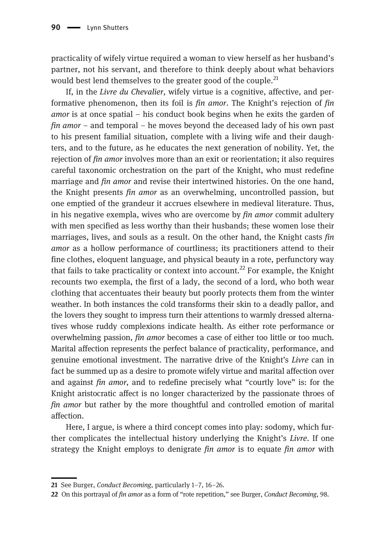practicality of wifely virtue required a woman to view herself as her husband's partner, not his servant, and therefore to think deeply about what behaviors would best lend themselves to the greater good of the couple.<sup>21</sup>

If, in the Livre du Chevalier, wifely virtue is a cognitive, affective, and performative phenomenon, then its foil is fin amor. The Knight's rejection of fin *amor* is at once spatial – his conduct book begins when he exits the garden of fin amor – and temporal – he moves beyond the deceased lady of his own past to his present familial situation, complete with a living wife and their daughters, and to the future, as he educates the next generation of nobility. Yet, the rejection of fin amor involves more than an exit or reorientation; it also requires careful taxonomic orchestration on the part of the Knight, who must redefine marriage and *fin amor* and revise their intertwined histories. On the one hand, the Knight presents fin amor as an overwhelming, uncontrolled passion, but one emptied of the grandeur it accrues elsewhere in medieval literature. Thus, in his negative exempla, wives who are overcome by fin amor commit adultery with men specified as less worthy than their husbands; these women lose their marriages, lives, and souls as a result. On the other hand, the Knight casts fin amor as a hollow performance of courtliness; its practitioners attend to their fine clothes, eloquent language, and physical beauty in a rote, perfunctory way that fails to take practicality or context into account.<sup>22</sup> For example, the Knight recounts two exempla, the first of a lady, the second of a lord, who both wear clothing that accentuates their beauty but poorly protects them from the winter weather. In both instances the cold transforms their skin to a deadly pallor, and the lovers they sought to impress turn their attentions to warmly dressed alternatives whose ruddy complexions indicate health. As either rote performance or overwhelming passion, fin amor becomes a case of either too little or too much. Marital affection represents the perfect balance of practicality, performance, and genuine emotional investment. The narrative drive of the Knight's Livre can in fact be summed up as a desire to promote wifely virtue and marital affection over and against fin amor, and to redefine precisely what "courtly love" is: for the Knight aristocratic affect is no longer characterized by the passionate throes of fin amor but rather by the more thoughtful and controlled emotion of marital affection.

Here, I argue, is where a third concept comes into play: sodomy, which further complicates the intellectual history underlying the Knight's Livre. If one strategy the Knight employs to denigrate *fin amor* is to equate *fin amor* with

<sup>21</sup> See Burger, Conduct Becoming, particularly 1–7, 16–26.

<sup>22</sup> On this portrayal of fin amor as a form of "rote repetition," see Burger, Conduct Becoming, 98.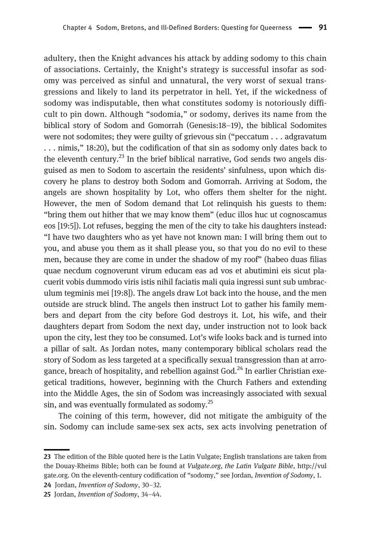adultery, then the Knight advances his attack by adding sodomy to this chain of associations. Certainly, the Knight's strategy is successful insofar as sodomy was perceived as sinful and unnatural, the very worst of sexual transgressions and likely to land its perpetrator in hell. Yet, if the wickedness of sodomy was indisputable, then what constitutes sodomy is notoriously difficult to pin down. Although "sodomia," or sodomy, derives its name from the biblical story of Sodom and Gomorrah (Genesis:18–19), the biblical Sodomites were not sodomites; they were guilty of grievous sin ("peccatum . . . adgravatum . . . nimis," 18:20), but the codification of that sin as sodomy only dates back to the eleventh century.<sup>23</sup> In the brief biblical narrative, God sends two angels disguised as men to Sodom to ascertain the residents' sinfulness, upon which discovery he plans to destroy both Sodom and Gomorrah. Arriving at Sodom, the angels are shown hospitality by Lot, who offers them shelter for the night. However, the men of Sodom demand that Lot relinquish his guests to them: "bring them out hither that we may know them" (educ illos huc ut cognoscamus eos [19:5]). Lot refuses, begging the men of the city to take his daughters instead: "I have two daughters who as yet have not known man: I will bring them out to you, and abuse you them as it shall please you, so that you do no evil to these men, because they are come in under the shadow of my roof" (habeo duas filias quae necdum cognoverunt virum educam eas ad vos et abutimini eis sicut placuerit vobis dummodo viris istis nihil faciatis mali quia ingressi sunt sub umbraculum tegminis mei [19:8]). The angels draw Lot back into the house, and the men outside are struck blind. The angels then instruct Lot to gather his family members and depart from the city before God destroys it. Lot, his wife, and their daughters depart from Sodom the next day, under instruction not to look back upon the city, lest they too be consumed. Lot's wife looks back and is turned into a pillar of salt. As Jordan notes, many contemporary biblical scholars read the story of Sodom as less targeted at a specifically sexual transgression than at arrogance, breach of hospitality, and rebellion against God.<sup>24</sup> In earlier Christian exegetical traditions, however, beginning with the Church Fathers and extending into the Middle Ages, the sin of Sodom was increasingly associated with sexual sin, and was eventually formulated as sodomy. $^{25}$ 

The coining of this term, however, did not mitigate the ambiguity of the sin. Sodomy can include same-sex sex acts, sex acts involving penetration of

24 Jordan, Invention of Sodomy, 30–32.

<sup>23</sup> The edition of the Bible quoted here is the Latin Vulgate; English translations are taken from the Douay-Rheims Bible; both can be found at Vulgate.org, the Latin Vulgate Bible, [http://vul](http://vulgate.org) [gate.org.](http://vulgate.org) On the eleventh-century codification of "sodomy," see Jordan, Invention of Sodomy, 1.

<sup>25</sup> Jordan, Invention of Sodomy, 34–44.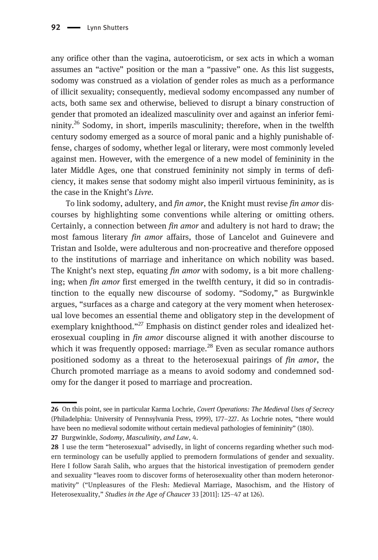any orifice other than the vagina, autoeroticism, or sex acts in which a woman assumes an "active" position or the man a "passive" one. As this list suggests, sodomy was construed as a violation of gender roles as much as a performance of illicit sexuality; consequently, medieval sodomy encompassed any number of acts, both same sex and otherwise, believed to disrupt a binary construction of gender that promoted an idealized masculinity over and against an inferior femininity.<sup>26</sup> Sodomy, in short, imperils masculinity; therefore, when in the twelfth century sodomy emerged as a source of moral panic and a highly punishable offense, charges of sodomy, whether legal or literary, were most commonly leveled against men. However, with the emergence of a new model of femininity in the later Middle Ages, one that construed femininity not simply in terms of deficiency, it makes sense that sodomy might also imperil virtuous femininity, as is the case in the Knight's Livre.

To link sodomy, adultery, and *fin amor*, the Knight must revise *fin amor* discourses by highlighting some conventions while altering or omitting others. Certainly, a connection between fin amor and adultery is not hard to draw; the most famous literary fin amor affairs, those of Lancelot and Guinevere and Tristan and Isolde, were adulterous and non-procreative and therefore opposed to the institutions of marriage and inheritance on which nobility was based. The Knight's next step, equating fin amor with sodomy, is a bit more challenging; when fin amor first emerged in the twelfth century, it did so in contradistinction to the equally new discourse of sodomy. "Sodomy," as Burgwinkle argues, "surfaces as a charge and category at the very moment when heterosexual love becomes an essential theme and obligatory step in the development of exemplary knighthood."<sup>27</sup> Emphasis on distinct gender roles and idealized heterosexual coupling in fin amor discourse aligned it with another discourse to which it was frequently opposed: marriage. $^{28}$  Even as secular romance authors positioned sodomy as a threat to the heterosexual pairings of fin amor, the Church promoted marriage as a means to avoid sodomy and condemned sodomy for the danger it posed to marriage and procreation.

<sup>26</sup> On this point, see in particular Karma Lochrie, Covert Operations: The Medieval Uses of Secrecy (Philadelphia: University of Pennsylvania Press, 1999), 177–227. As Lochrie notes, "there would have been no medieval sodomite without certain medieval pathologies of femininity" (180).

<sup>27</sup> Burgwinkle, Sodomy, Masculinity, and Law, 4.

<sup>28</sup> I use the term "heterosexual" advisedly, in light of concerns regarding whether such modern terminology can be usefully applied to premodern formulations of gender and sexuality. Here I follow Sarah Salih, who argues that the historical investigation of premodern gender and sexuality "leaves room to discover forms of heterosexuality other than modern heteronormativity" ("Unpleasures of the Flesh: Medieval Marriage, Masochism, and the History of Heterosexuality," Studies in the Age of Chaucer 33 [2011]: 125–47 at 126).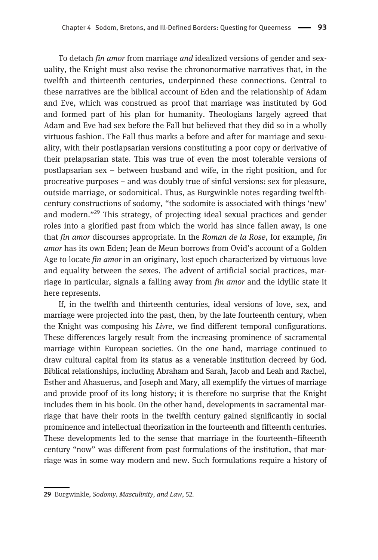To detach fin amor from marriage and idealized versions of gender and sexuality, the Knight must also revise the chrononormative narratives that, in the twelfth and thirteenth centuries, underpinned these connections. Central to these narratives are the biblical account of Eden and the relationship of Adam and Eve, which was construed as proof that marriage was instituted by God and formed part of his plan for humanity. Theologians largely agreed that Adam and Eve had sex before the Fall but believed that they did so in a wholly virtuous fashion. The Fall thus marks a before and after for marriage and sexuality, with their postlapsarian versions constituting a poor copy or derivative of their prelapsarian state. This was true of even the most tolerable versions of postlapsarian sex – between husband and wife, in the right position, and for procreative purposes – and was doubly true of sinful versions: sex for pleasure, outside marriage, or sodomitical. Thus, as Burgwinkle notes regarding twelfthcentury constructions of sodomy, "the sodomite is associated with things 'new' and modern."<sup>29</sup> This strategy, of projecting ideal sexual practices and gender roles into a glorified past from which the world has since fallen away, is one that fin amor discourses appropriate. In the Roman de la Rose, for example, fin amor has its own Eden; Jean de Meun borrows from Ovid's account of a Golden Age to locate *fin amor* in an originary, lost epoch characterized by virtuous love and equality between the sexes. The advent of artificial social practices, marriage in particular, signals a falling away from fin amor and the idyllic state it here represents.

If, in the twelfth and thirteenth centuries, ideal versions of love, sex, and marriage were projected into the past, then, by the late fourteenth century, when the Knight was composing his Livre, we find different temporal configurations. These differences largely result from the increasing prominence of sacramental marriage within European societies. On the one hand, marriage continued to draw cultural capital from its status as a venerable institution decreed by God. Biblical relationships, including Abraham and Sarah, Jacob and Leah and Rachel, Esther and Ahasuerus, and Joseph and Mary, all exemplify the virtues of marriage and provide proof of its long history; it is therefore no surprise that the Knight includes them in his book. On the other hand, developments in sacramental marriage that have their roots in the twelfth century gained significantly in social prominence and intellectual theorization in the fourteenth and fifteenth centuries. These developments led to the sense that marriage in the fourteenth–fifteenth century "now" was different from past formulations of the institution, that marriage was in some way modern and new. Such formulations require a history of

<sup>29</sup> Burgwinkle, Sodomy, Masculinity, and Law, 52.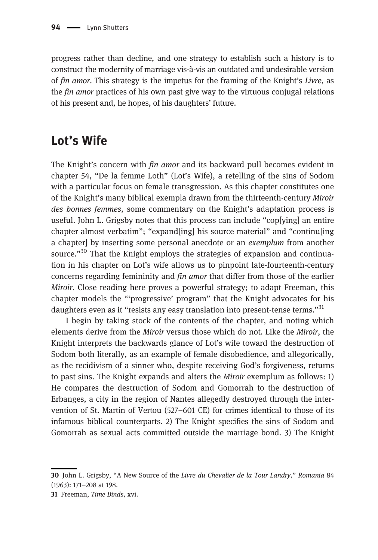progress rather than decline, and one strategy to establish such a history is to construct the modernity of marriage vis-à-vis an outdated and undesirable version of fin amor. This strategy is the impetus for the framing of the Knight's Livre, as the *fin amor* practices of his own past give way to the virtuous conjugal relations of his present and, he hopes, of his daughters' future.

## Lot's Wife

The Knight's concern with *fin amor* and its backward pull becomes evident in chapter 54, "De la femme Loth" (Lot's Wife), a retelling of the sins of Sodom with a particular focus on female transgression. As this chapter constitutes one of the Knight's many biblical exempla drawn from the thirteenth-century Miroir des bonnes femmes, some commentary on the Knight's adaptation process is useful. John L. Grigsby notes that this process can include "cop[ying] an entire chapter almost verbatim"; "expand[ing] his source material" and "continu[ing a chapter] by inserting some personal anecdote or an exemplum from another source."<sup>30</sup> That the Knight employs the strategies of expansion and continuation in his chapter on Lot's wife allows us to pinpoint late-fourteenth-century concerns regarding femininity and fin amor that differ from those of the earlier Miroir. Close reading here proves a powerful strategy; to adapt Freeman, this chapter models the "'progressive' program" that the Knight advocates for his daughters even as it "resists any easy translation into present-tense terms."<sup>31</sup>

I begin by taking stock of the contents of the chapter, and noting which elements derive from the Miroir versus those which do not. Like the Miroir, the Knight interprets the backwards glance of Lot's wife toward the destruction of Sodom both literally, as an example of female disobedience, and allegorically, as the recidivism of a sinner who, despite receiving God's forgiveness, returns to past sins. The Knight expands and alters the Miroir exemplum as follows: 1) He compares the destruction of Sodom and Gomorrah to the destruction of Erbanges, a city in the region of Nantes allegedly destroyed through the intervention of St. Martin of Vertou (527–601 CE) for crimes identical to those of its infamous biblical counterparts. 2) The Knight specifies the sins of Sodom and Gomorrah as sexual acts committed outside the marriage bond. 3) The Knight

<sup>30</sup> John L. Grigsby, "A New Source of the Livre du Chevalier de la Tour Landry," Romania 84 (1963): 171–208 at 198.

<sup>31</sup> Freeman, Time Binds, xvi.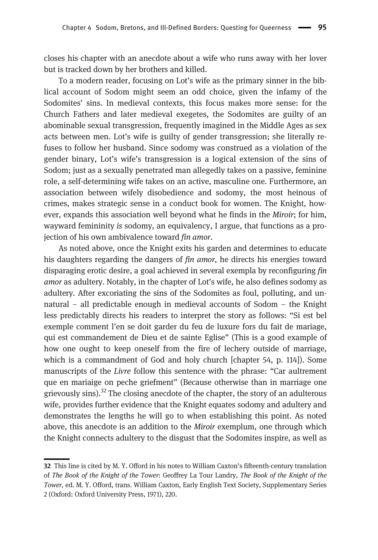closes his chapter with an anecdote about a wife who runs away with her lover but is tracked down by her brothers and killed.

To a modern reader, focusing on Lot's wife as the primary sinner in the biblical account of Sodom might seem an odd choice, given the infamy of the Sodomites' sins. In medieval contexts, this focus makes more sense: for the Church Fathers and later medieval exegetes, the Sodomites are guilty of an abominable sexual transgression, frequently imagined in the Middle Ages as sex acts between men. Lot's wife is guilty of gender transgression; she literally refuses to follow her husband. Since sodomy was construed as a violation of the gender binary, Lot's wife's transgression is a logical extension of the sins of Sodom; just as a sexually penetrated man allegedly takes on a passive, feminine role, a self-determining wife takes on an active, masculine one. Furthermore, an association between wifely disobedience and sodomy, the most heinous of crimes, makes strategic sense in a conduct book for women. The Knight, however, expands this association well beyond what he finds in the Miroir; for him, wayward femininity is sodomy, an equivalency, I argue, that functions as a projection of his own ambivalence toward *fin amor*.

As noted above, once the Knight exits his garden and determines to educate his daughters regarding the dangers of *fin amor*, he directs his energies toward disparaging erotic desire, a goal achieved in several exempla by reconfiguring fin amor as adultery. Notably, in the chapter of Lot's wife, he also defines sodomy as adultery. After excoriating the sins of the Sodomites as foul, polluting, and unnatural – all predictable enough in medieval accounts of Sodom – the Knight less predictably directs his readers to interpret the story as follows: "Si est bel exemple comment l'en se doit garder du feu de luxure fors du fait de mariage, qui est commandement de Dieu et de sainte Eglise" (This is a good example of how one ought to keep oneself from the fire of lechery outside of marriage, which is a commandment of God and holy church [chapter 54, p. 114]). Some manuscripts of the *Livre* follow this sentence with the phrase: "Car aultrement que en mariaige on peche griefment" (Because otherwise than in marriage one grievously sins). $32$  The closing anecdote of the chapter, the story of an adulterous wife, provides further evidence that the Knight equates sodomy and adultery and demonstrates the lengths he will go to when establishing this point. As noted above, this anecdote is an addition to the Miroir exemplum, one through which the Knight connects adultery to the disgust that the Sodomites inspire, as well as

<sup>32</sup> This line is cited by M. Y. Offord in his notes to William Caxton's fifteenth-century translation of The Book of the Knight of the Tower: Geoffrey La Tour Landry, The Book of the Knight of the Tower, ed. M. Y. Offord, trans. William Caxton, Early English Text Society, Supplementary Series 2 (Oxford: Oxford University Press, 1971), 220.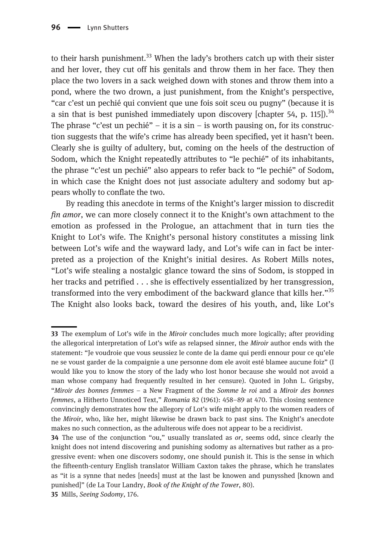to their harsh punishment.<sup>33</sup> When the lady's brothers catch up with their sister and her lover, they cut off his genitals and throw them in her face. They then place the two lovers in a sack weighed down with stones and throw them into a pond, where the two drown, a just punishment, from the Knight's perspective, "car c'est un pechié qui convient que une fois soit sceu ou pugny" (because it is a sin that is best punished immediately upon discovery [chapter 54, p. 115]).<sup>34</sup> The phrase "c'est un pechié" – it is a sin – is worth pausing on, for its construction suggests that the wife's crime has already been specified, yet it hasn't been. Clearly she is guilty of adultery, but, coming on the heels of the destruction of Sodom, which the Knight repeatedly attributes to "le pechié" of its inhabitants, the phrase "c'est un pechié" also appears to refer back to "le pechié" of Sodom, in which case the Knight does not just associate adultery and sodomy but appears wholly to conflate the two.

By reading this anecdote in terms of the Knight's larger mission to discredit fin amor, we can more closely connect it to the Knight's own attachment to the emotion as professed in the Prologue, an attachment that in turn ties the Knight to Lot's wife. The Knight's personal history constitutes a missing link between Lot's wife and the wayward lady, and Lot's wife can in fact be interpreted as a projection of the Knight's initial desires. As Robert Mills notes, "Lot's wife stealing a nostalgic glance toward the sins of Sodom, is stopped in her tracks and petrified . . . she is effectively essentialized by her transgression, transformed into the very embodiment of the backward glance that kills her."<sup>35</sup> The Knight also looks back, toward the desires of his youth, and, like Lot's

<sup>33</sup> The exemplum of Lot's wife in the *Miroir* concludes much more logically; after providing the allegorical interpretation of Lot's wife as relapsed sinner, the Miroir author ends with the statement: "Je voudroie que vous seussiez le conte de la dame qui perdi ennour pour ce qu'ele ne se voust garder de la compaignie a une personne dom ele avoit esté blamee aucune foiz" (I would like you to know the story of the lady who lost honor because she would not avoid a man whose company had frequently resulted in her censure). Quoted in John L. Grigsby, "Miroir des bonnes femmes – a New Fragment of the Somme le roi and a Miroir des bonnes femmes, a Hitherto Unnoticed Text," Romania 82 (1961): 458–89 at 470. This closing sentence convincingly demonstrates how the allegory of Lot's wife might apply to the women readers of the Miroir, who, like her, might likewise be drawn back to past sins. The Knight's anecdote makes no such connection, as the adulterous wife does not appear to be a recidivist.

<sup>34</sup> The use of the conjunction "ou," usually translated as or, seems odd, since clearly the knight does not intend discovering and punishing sodomy as alternatives but rather as a progressive event: when one discovers sodomy, one should punish it. This is the sense in which the fifteenth-century English translator William Caxton takes the phrase, which he translates as "it is a synne that nedes [needs] must at the last be knowen and punysshed [known and punished]" (de La Tour Landry, Book of the Knight of the Tower, 80).

<sup>35</sup> Mills, Seeing Sodomy, 176.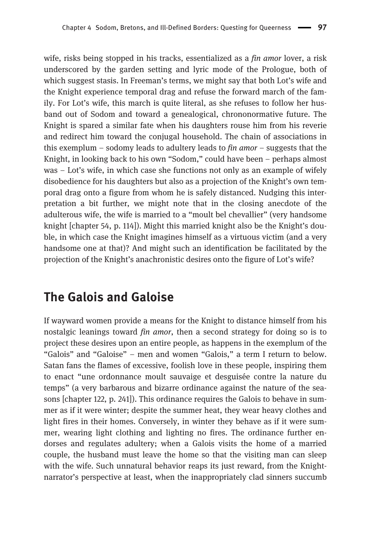wife, risks being stopped in his tracks, essentialized as a  $fin$  amor lover, a risk underscored by the garden setting and lyric mode of the Prologue, both of which suggest stasis. In Freeman's terms, we might say that both Lot's wife and the Knight experience temporal drag and refuse the forward march of the family. For Lot's wife, this march is quite literal, as she refuses to follow her husband out of Sodom and toward a genealogical, chrononormative future. The Knight is spared a similar fate when his daughters rouse him from his reverie and redirect him toward the conjugal household. The chain of associations in this exemplum – sodomy leads to adultery leads to  $fin$  amor – suggests that the Knight, in looking back to his own "Sodom," could have been – perhaps almost was – Lot's wife, in which case she functions not only as an example of wifely disobedience for his daughters but also as a projection of the Knight's own temporal drag onto a figure from whom he is safely distanced. Nudging this interpretation a bit further, we might note that in the closing anecdote of the adulterous wife, the wife is married to a "moult bel chevallier" (very handsome knight [chapter 54, p. 114]). Might this married knight also be the Knight's double, in which case the Knight imagines himself as a virtuous victim (and a very handsome one at that)? And might such an identification be facilitated by the projection of the Knight's anachronistic desires onto the figure of Lot's wife?

#### The Galois and Galoise

If wayward women provide a means for the Knight to distance himself from his nostalgic leanings toward *fin amor*, then a second strategy for doing so is to project these desires upon an entire people, as happens in the exemplum of the "Galois" and "Galoise" – men and women "Galois," a term I return to below. Satan fans the flames of excessive, foolish love in these people, inspiring them to enact "une ordonnance moult sauvaige et desguisée contre la nature du temps" (a very barbarous and bizarre ordinance against the nature of the seasons [chapter 122, p. 241]). This ordinance requires the Galois to behave in summer as if it were winter; despite the summer heat, they wear heavy clothes and light fires in their homes. Conversely, in winter they behave as if it were summer, wearing light clothing and lighting no fires. The ordinance further endorses and regulates adultery; when a Galois visits the home of a married couple, the husband must leave the home so that the visiting man can sleep with the wife. Such unnatural behavior reaps its just reward, from the Knightnarrator's perspective at least, when the inappropriately clad sinners succumb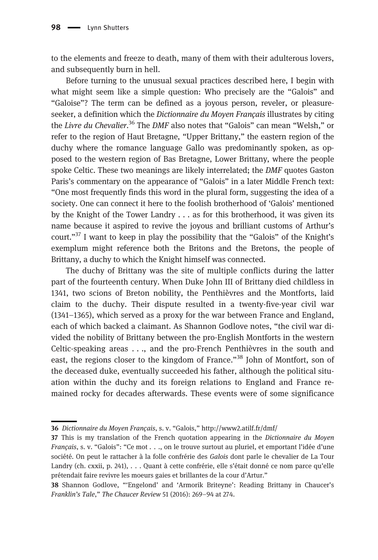to the elements and freeze to death, many of them with their adulterous lovers, and subsequently burn in hell.

Before turning to the unusual sexual practices described here, I begin with what might seem like a simple question: Who precisely are the "Galois" and "Galoise"? The term can be defined as a joyous person, reveler, or pleasureseeker, a definition which the *Dictionnaire du Moyen Français* illustrates by citing the Livre du Chevalier.<sup>36</sup> The DMF also notes that "Galois" can mean "Welsh," or refer to the region of Haut Bretagne, "Upper Brittany," the eastern region of the duchy where the romance language Gallo was predominantly spoken, as opposed to the western region of Bas Bretagne, Lower Brittany, where the people spoke Celtic. These two meanings are likely interrelated; the *DMF* quotes Gaston Paris's commentary on the appearance of "Galois" in a later Middle French text: "One most frequently finds this word in the plural form, suggesting the idea of a society. One can connect it here to the foolish brotherhood of 'Galois' mentioned by the Knight of the Tower Landry . . . as for this brotherhood, it was given its name because it aspired to revive the joyous and brilliant customs of Arthur's court."<sup>37</sup> I want to keep in play the possibility that the "Galois" of the Knight's exemplum might reference both the Britons and the Bretons, the people of Brittany, a duchy to which the Knight himself was connected.

The duchy of Brittany was the site of multiple conflicts during the latter part of the fourteenth century. When Duke John III of Brittany died childless in 1341, two scions of Breton nobility, the Penthièvres and the Montforts, laid claim to the duchy. Their dispute resulted in a twenty-five-year civil war (1341–1365), which served as a proxy for the war between France and England, each of which backed a claimant. As Shannon Godlove notes, "the civil war divided the nobility of Brittany between the pro-English Montforts in the western Celtic-speaking areas . . ., and the pro-French Penthièvres in the south and east, the regions closer to the kingdom of France."<sup>38</sup> John of Montfort, son of the deceased duke, eventually succeeded his father, although the political situation within the duchy and its foreign relations to England and France remained rocky for decades afterwards. These events were of some significance

<sup>36</sup> Dictionnaire du Moyen Français, s. v. "Galois," <http://www2.atilf.fr/dmf/>

<sup>37</sup> This is my translation of the French quotation appearing in the Dictionnaire du Moyen Français, s. v. "Galois": "Ce mot . . ., on le trouve surtout au pluriel, et emportant l'idée d'une société. On peut le rattacher à la folle confrérie des Galois dont parle le chevalier de La Tour Landry (ch. cxxii, p. 241), . . . Quant à cette confrérie, elle s'était donné ce nom parce qu'elle prétendait faire revivre les moeurs gaies et brillantes de la cour d'Artur."

<sup>38</sup> Shannon Godlove, "'Engelond' and 'Armorik Briteyne': Reading Brittany in Chaucer's Franklin's Tale," The Chaucer Review 51 (2016): 269–94 at 274.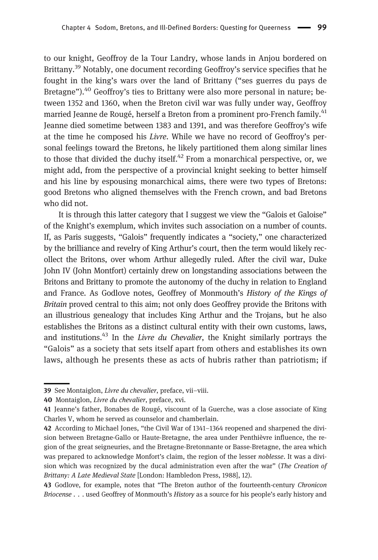to our knight, Geoffroy de la Tour Landry, whose lands in Anjou bordered on Brittany.<sup>39</sup> Notably, one document recording Geoffroy's service specifies that he fought in the king's wars over the land of Brittany ("ses guerres du pays de Bretagne").<sup>40</sup> Geoffroy's ties to Brittany were also more personal in nature; between 1352 and 1360, when the Breton civil war was fully under way, Geoffroy married Jeanne de Rougé, herself a Breton from a prominent pro-French family.<sup>41</sup> Jeanne died sometime between 1383 and 1391, and was therefore Geoffroy's wife at the time he composed his Livre. While we have no record of Geoffroy's personal feelings toward the Bretons, he likely partitioned them along similar lines to those that divided the duchy itself.<sup>42</sup> From a monarchical perspective, or, we might add, from the perspective of a provincial knight seeking to better himself and his line by espousing monarchical aims, there were two types of Bretons: good Bretons who aligned themselves with the French crown, and bad Bretons who did not.

It is through this latter category that I suggest we view the "Galois et Galoise" of the Knight's exemplum, which invites such association on a number of counts. If, as Paris suggests, "Galois" frequently indicates a "society," one characterized by the brilliance and revelry of King Arthur's court, then the term would likely recollect the Britons, over whom Arthur allegedly ruled. After the civil war, Duke John IV (John Montfort) certainly drew on longstanding associations between the Britons and Brittany to promote the autonomy of the duchy in relation to England and France. As Godlove notes, Geoffrey of Monmouth's History of the Kings of Britain proved central to this aim; not only does Geoffrey provide the Britons with an illustrious genealogy that includes King Arthur and the Trojans, but he also establishes the Britons as a distinct cultural entity with their own customs, laws, and institutions.<sup>43</sup> In the *Livre du Chevalier*, the Knight similarly portrays the "Galois" as a society that sets itself apart from others and establishes its own laws, although he presents these as acts of hubris rather than patriotism; if

<sup>39</sup> See Montaiglon, Livre du chevalier, preface, vii-viii.

<sup>40</sup> Montaiglon, Livre du chevalier, preface, xvi.

<sup>41</sup> Jeanne's father, Bonabes de Rougé, viscount of la Guerche, was a close associate of King Charles V, whom he served as counselor and chamberlain.

<sup>42</sup> According to Michael Jones, "the Civil War of 1341–1364 reopened and sharpened the division between Bretagne-Gallo or Haute-Bretagne, the area under Penthièvre influence, the region of the great seigneuries, and the Bretagne-Bretonnante or Basse-Bretagne, the area which was prepared to acknowledge Monfort's claim, the region of the lesser noblesse. It was a division which was recognized by the ducal administration even after the war" (The Creation of Brittany: A Late Medieval State [London: Hambledon Press, 1988], 12).

<sup>43</sup> Godlove, for example, notes that "The Breton author of the fourteenth-century Chronicon Briocense . . . used Geoffrey of Monmouth's History as a source for his people's early history and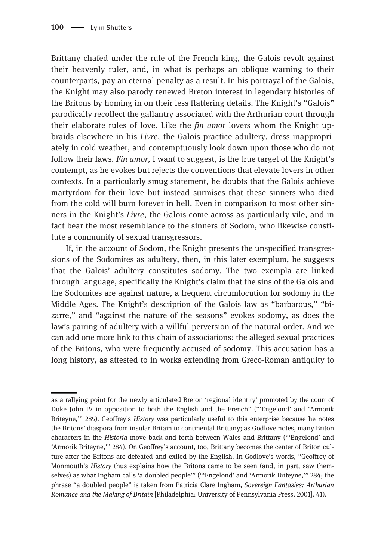Brittany chafed under the rule of the French king, the Galois revolt against their heavenly ruler, and, in what is perhaps an oblique warning to their counterparts, pay an eternal penalty as a result. In his portrayal of the Galois, the Knight may also parody renewed Breton interest in legendary histories of the Britons by homing in on their less flattering details. The Knight's "Galois" parodically recollect the gallantry associated with the Arthurian court through their elaborate rules of love. Like the *fin amor* lovers whom the Knight upbraids elsewhere in his Livre, the Galois practice adultery, dress inappropriately in cold weather, and contemptuously look down upon those who do not follow their laws. Fin amor, I want to suggest, is the true target of the Knight's contempt, as he evokes but rejects the conventions that elevate lovers in other contexts. In a particularly smug statement, he doubts that the Galois achieve martyrdom for their love but instead surmises that these sinners who died from the cold will burn forever in hell. Even in comparison to most other sinners in the Knight's Livre, the Galois come across as particularly vile, and in fact bear the most resemblance to the sinners of Sodom, who likewise constitute a community of sexual transgressors.

If, in the account of Sodom, the Knight presents the unspecified transgressions of the Sodomites as adultery, then, in this later exemplum, he suggests that the Galois' adultery constitutes sodomy. The two exempla are linked through language, specifically the Knight's claim that the sins of the Galois and the Sodomites are against nature, a frequent circumlocution for sodomy in the Middle Ages. The Knight's description of the Galois law as "barbarous," "bizarre," and "against the nature of the seasons" evokes sodomy, as does the law's pairing of adultery with a willful perversion of the natural order. And we can add one more link to this chain of associations: the alleged sexual practices of the Britons, who were frequently accused of sodomy. This accusation has a long history, as attested to in works extending from Greco-Roman antiquity to

as a rallying point for the newly articulated Breton 'regional identity' promoted by the court of Duke John IV in opposition to both the English and the French" ("'Engelond' and 'Armorik Briteyne," 285). Geoffrey's History was particularly useful to this enterprise because he notes the Britons' diaspora from insular Britain to continental Brittany; as Godlove notes, many Briton characters in the Historia move back and forth between Wales and Brittany ("'Engelond' and 'Armorik Briteyne,'" 284). On Geoffrey's account, too, Brittany becomes the center of Briton culture after the Britons are defeated and exiled by the English. In Godlove's words, "Geoffrey of Monmouth's History thus explains how the Britons came to be seen (and, in part, saw themselves) as what Ingham calls 'a doubled people'" ("'Engelond' and 'Armorik Briteyne,'" 284; the phrase "a doubled people" is taken from Patricia Clare Ingham, Sovereign Fantasies: Arthurian Romance and the Making of Britain [Philadelphia: University of Pennsylvania Press, 2001], 41).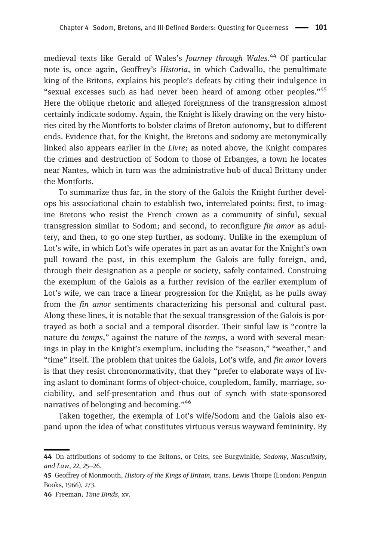medieval texts like Gerald of Wales's Journey through Wales.<sup>44</sup> Of particular note is, once again, Geoffrey's Historia, in which Cadwallo, the penultimate king of the Britons, explains his people's defeats by citing their indulgence in "sexual excesses such as had never been heard of among other peoples."<sup>45</sup> Here the oblique rhetoric and alleged foreignness of the transgression almost certainly indicate sodomy. Again, the Knight is likely drawing on the very histories cited by the Montforts to bolster claims of Breton autonomy, but to different ends. Evidence that, for the Knight, the Bretons and sodomy are metonymically linked also appears earlier in the Livre; as noted above, the Knight compares the crimes and destruction of Sodom to those of Erbanges, a town he locates near Nantes, which in turn was the administrative hub of ducal Brittany under the Montforts.

To summarize thus far, in the story of the Galois the Knight further develops his associational chain to establish two, interrelated points: first, to imagine Bretons who resist the French crown as a community of sinful, sexual transgression similar to Sodom; and second, to reconfigure fin amor as adultery, and then, to go one step further, as sodomy. Unlike in the exemplum of Lot's wife, in which Lot's wife operates in part as an avatar for the Knight's own pull toward the past, in this exemplum the Galois are fully foreign, and, through their designation as a people or society, safely contained. Construing the exemplum of the Galois as a further revision of the earlier exemplum of Lot's wife, we can trace a linear progression for the Knight, as he pulls away from the fin amor sentiments characterizing his personal and cultural past. Along these lines, it is notable that the sexual transgression of the Galois is portrayed as both a social and a temporal disorder. Their sinful law is "contre la nature du *temps*," against the nature of the *temps*, a word with several meanings in play in the Knight's exemplum, including the "season," "weather," and "time" itself. The problem that unites the Galois, Lot's wife, and *fin amor* lovers is that they resist chrononormativity, that they "prefer to elaborate ways of living aslant to dominant forms of object-choice, coupledom, family, marriage, sociability, and self-presentation and thus out of synch with state-sponsored narratives of belonging and becoming."<sup>46</sup>

Taken together, the exempla of Lot's wife/Sodom and the Galois also expand upon the idea of what constitutes virtuous versus wayward femininity. By

<sup>44</sup> On attributions of sodomy to the Britons, or Celts, see Burgwinkle, Sodomy, Masculinity, and Law, 22, 25–26.

<sup>45</sup> Geoffrey of Monmouth, *History of the Kings of Britain*, trans. Lewis Thorpe (London: Penguin Books, 1966), 273.

<sup>46</sup> Freeman, Time Binds, xv.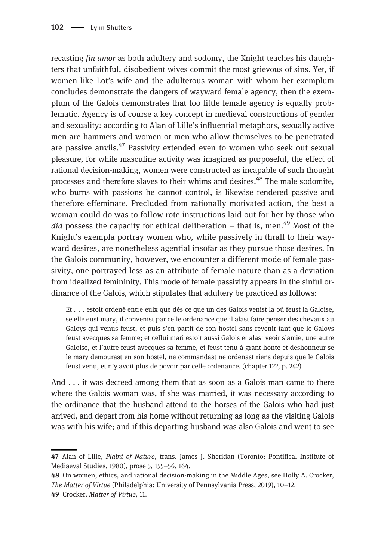recasting fin amor as both adultery and sodomy, the Knight teaches his daughters that unfaithful, disobedient wives commit the most grievous of sins. Yet, if women like Lot's wife and the adulterous woman with whom her exemplum concludes demonstrate the dangers of wayward female agency, then the exemplum of the Galois demonstrates that too little female agency is equally problematic. Agency is of course a key concept in medieval constructions of gender and sexuality: according to Alan of Lille's influential metaphors, sexually active men are hammers and women or men who allow themselves to be penetrated are passive anvils.<sup>47</sup> Passivity extended even to women who seek out sexual pleasure, for while masculine activity was imagined as purposeful, the effect of rational decision-making, women were constructed as incapable of such thought processes and therefore slaves to their whims and desires.<sup>48</sup> The male sodomite. who burns with passions he cannot control, is likewise rendered passive and therefore effeminate. Precluded from rationally motivated action, the best a woman could do was to follow rote instructions laid out for her by those who  $did$  possess the capacity for ethical deliberation – that is, men.<sup>49</sup> Most of the Knight's exempla portray women who, while passively in thrall to their wayward desires, are nonetheless agential insofar as they pursue those desires. In the Galois community, however, we encounter a different mode of female passivity, one portrayed less as an attribute of female nature than as a deviation from idealized femininity. This mode of female passivity appears in the sinful ordinance of the Galois, which stipulates that adultery be practiced as follows:

Et . . . estoit ordené entre eulx que dès ce que un des Galois venist la où feust la Galoise, se elle eust mary, il convenist par celle ordenance que il alast faire penser des chevaux au Galoys qui venus feust, et puis s'en partit de son hostel sans revenir tant que le Galoys feust avecques sa femme; et cellui mari estoit aussi Galois et alast veoir s'amie, une autre Galoise, et l'autre feust avecques sa femme, et feust tenu à grant honte et deshonneur se le mary demourast en son hostel, ne commandast ne ordenast riens depuis que le Galois feust venu, et n'y avoit plus de povoir par celle ordenance. (chapter 122, p. 242)

And . . . it was decreed among them that as soon as a Galois man came to there where the Galois woman was, if she was married, it was necessary according to the ordinance that the husband attend to the horses of the Galois who had just arrived, and depart from his home without returning as long as the visiting Galois was with his wife; and if this departing husband was also Galois and went to see

<sup>47</sup> Alan of Lille, Plaint of Nature, trans. James J. Sheridan (Toronto: Pontifical Institute of Mediaeval Studies, 1980), prose 5, 155–56, 164.

<sup>48</sup> On women, ethics, and rational decision-making in the Middle Ages, see Holly A. Crocker, The Matter of Virtue (Philadelphia: University of Pennsylvania Press, 2019), 10–12.

<sup>49</sup> Crocker, Matter of Virtue, 11.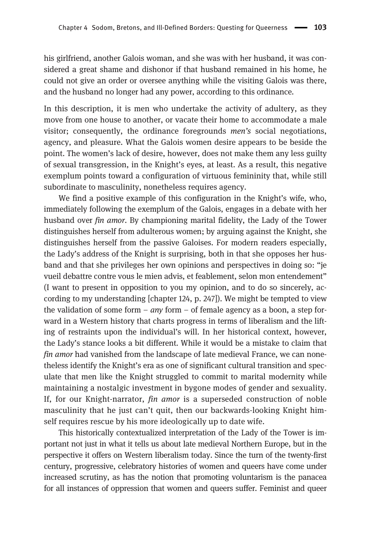his girlfriend, another Galois woman, and she was with her husband, it was considered a great shame and dishonor if that husband remained in his home, he could not give an order or oversee anything while the visiting Galois was there, and the husband no longer had any power, according to this ordinance.

In this description, it is men who undertake the activity of adultery, as they move from one house to another, or vacate their home to accommodate a male visitor; consequently, the ordinance foregrounds men's social negotiations, agency, and pleasure. What the Galois women desire appears to be beside the point. The women's lack of desire, however, does not make them any less guilty of sexual transgression, in the Knight's eyes, at least. As a result, this negative exemplum points toward a configuration of virtuous femininity that, while still subordinate to masculinity, nonetheless requires agency.

We find a positive example of this configuration in the Knight's wife, who, immediately following the exemplum of the Galois, engages in a debate with her husband over fin amor. By championing marital fidelity, the Lady of the Tower distinguishes herself from adulterous women; by arguing against the Knight, she distinguishes herself from the passive Galoises. For modern readers especially, the Lady's address of the Knight is surprising, both in that she opposes her husband and that she privileges her own opinions and perspectives in doing so: "je vueil debattre contre vous le mien advis, et feablement, selon mon entendement" (I want to present in opposition to you my opinion, and to do so sincerely, according to my understanding [chapter 124, p. 247]). We might be tempted to view the validation of some form –  $any$  form – of female agency as a boon, a step forward in a Western history that charts progress in terms of liberalism and the lifting of restraints upon the individual's will. In her historical context, however, the Lady's stance looks a bit different. While it would be a mistake to claim that fin amor had vanished from the landscape of late medieval France, we can nonetheless identify the Knight's era as one of significant cultural transition and speculate that men like the Knight struggled to commit to marital modernity while maintaining a nostalgic investment in bygone modes of gender and sexuality. If, for our Knight-narrator, fin amor is a superseded construction of noble masculinity that he just can't quit, then our backwards-looking Knight himself requires rescue by his more ideologically up to date wife.

This historically contextualized interpretation of the Lady of the Tower is important not just in what it tells us about late medieval Northern Europe, but in the perspective it offers on Western liberalism today. Since the turn of the twenty-first century, progressive, celebratory histories of women and queers have come under increased scrutiny, as has the notion that promoting voluntarism is the panacea for all instances of oppression that women and queers suffer. Feminist and queer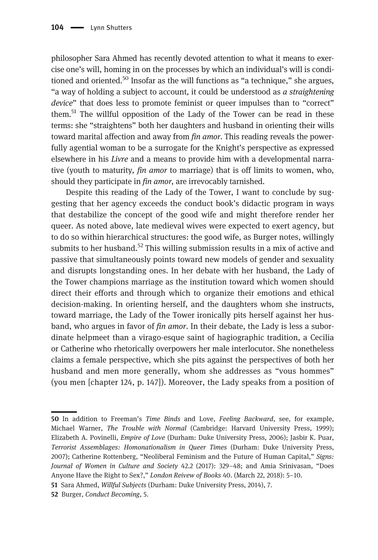philosopher Sara Ahmed has recently devoted attention to what it means to exercise one's will, homing in on the processes by which an individual's will is conditioned and oriented.<sup>50</sup> Insofar as the will functions as "a technique," she argues, "a way of holding a subject to account, it could be understood as a straightening device" that does less to promote feminist or queer impulses than to "correct" them.<sup>51</sup> The willful opposition of the Lady of the Tower can be read in these terms: she "straightens" both her daughters and husband in orienting their wills toward marital affection and away from *fin amor*. This reading reveals the powerfully agential woman to be a surrogate for the Knight's perspective as expressed elsewhere in his Livre and a means to provide him with a developmental narrative (youth to maturity, fin amor to marriage) that is off limits to women, who, should they participate in *fin amor*, are irrevocably tarnished.

Despite this reading of the Lady of the Tower, I want to conclude by suggesting that her agency exceeds the conduct book's didactic program in ways that destabilize the concept of the good wife and might therefore render her queer. As noted above, late medieval wives were expected to exert agency, but to do so within hierarchical structures: the good wife, as Burger notes, willingly submits to her husband.<sup>52</sup> This willing submission results in a mix of active and passive that simultaneously points toward new models of gender and sexuality and disrupts longstanding ones. In her debate with her husband, the Lady of the Tower champions marriage as the institution toward which women should direct their efforts and through which to organize their emotions and ethical decision-making. In orienting herself, and the daughters whom she instructs, toward marriage, the Lady of the Tower ironically pits herself against her husband, who argues in favor of *fin amor*. In their debate, the Lady is less a subordinate helpmeet than a virago-esque saint of hagiographic tradition, a Cecilia or Catherine who rhetorically overpowers her male interlocutor. She nonetheless claims a female perspective, which she pits against the perspectives of both her husband and men more generally, whom she addresses as "vous hommes" (you men [chapter 124, p. 147]). Moreover, the Lady speaks from a position of

<sup>50</sup> In addition to Freeman's Time Binds and Love, Feeling Backward, see, for example, Michael Warner, The Trouble with Normal (Cambridge: Harvard University Press, 1999); Elizabeth A. Povinelli, Empire of Love (Durham: Duke University Press, 2006); Jasbir K. Puar, Terrorist Assemblages: Homonationalism in Queer Times (Durham: Duke University Press, 2007); Catherine Rottenberg, "Neoliberal Feminism and the Future of Human Capital," Signs: Journal of Women in Culture and Society 42.2 (2017): 329–48; and Amia Srinivasan, "Does Anyone Have the Right to Sex?," London Reivew of Books 40. (March 22, 2018): 5–10.

<sup>51</sup> Sara Ahmed, Willful Subjects (Durham: Duke University Press, 2014), 7.

<sup>52</sup> Burger, Conduct Becoming, 5.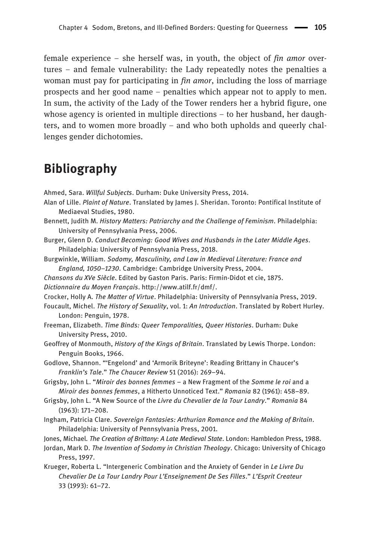female experience – she herself was, in youth, the object of  $fin$  amor overtures – and female vulnerability: the Lady repeatedly notes the penalties a woman must pay for participating in *fin amor*, including the loss of marriage prospects and her good name – penalties which appear not to apply to men. In sum, the activity of the Lady of the Tower renders her a hybrid figure, one whose agency is oriented in multiple directions – to her husband, her daughters, and to women more broadly – and who both upholds and queerly challenges gender dichotomies.

#### Bibliography

Ahmed, Sara. Willful Subjects. Durham: Duke University Press, 2014.

- Alan of Lille. Plaint of Nature. Translated by James J. Sheridan. Toronto: Pontifical Institute of Mediaeval Studies, 1980.
- Bennett, Judith M. History Matters: Patriarchy and the Challenge of Feminism. Philadelphia: University of Pennsylvania Press, 2006.
- Burger, Glenn D. Conduct Becoming: Good Wives and Husbands in the Later Middle Ages. Philadelphia: University of Pennsylvania Press, 2018.
- Burgwinkle, William. Sodomy, Masculinity, and Law in Medieval Literature: France and England, 1050–1230. Cambridge: Cambridge University Press, 2004.
- Chansons du XVe Siècle. Edited by Gaston Paris. Paris: Firmin-Didot et cie, 1875.
- Dictionnaire du Moyen Français.<http://www.atilf.fr/dmf/>.
- Crocker, Holly A. The Matter of Virtue. Philadelphia: University of Pennsylvania Press, 2019.
- Foucault, Michel. The History of Sexuality, vol. 1: An Introduction. Translated by Robert Hurley. London: Penguin, 1978.
- Freeman, Elizabeth. Time Binds: Queer Temporalities, Queer Histories. Durham: Duke University Press, 2010.
- Geoffrey of Monmouth, History of the Kings of Britain. Translated by Lewis Thorpe. London: Penguin Books, 1966.
- Godlove, Shannon. "'Engelond' and 'Armorik Briteyne': Reading Brittany in Chaucer's Franklin's Tale." The Chaucer Review 51 (2016): 269–94.
- Grigsby, John L. "Miroir des bonnes femmes a New Fragment of the Somme le roi and a Miroir des bonnes femmes, a Hitherto Unnoticed Text." Romania 82 (1961): 458–89.
- Grigsby, John L. "A New Source of the Livre du Chevalier de la Tour Landry." Romania 84 (1963): 171–208.
- Ingham, Patricia Clare. Sovereign Fantasies: Arthurian Romance and the Making of Britain. Philadelphia: University of Pennsylvania Press, 2001.
- Jones, Michael. The Creation of Brittany: A Late Medieval State. London: Hambledon Press, 1988.
- Jordan, Mark D. The Invention of Sodomy in Christian Theology. Chicago: University of Chicago Press, 1997.
- Krueger, Roberta L. "Intergeneric Combination and the Anxiety of Gender in Le Livre Du Chevalier De La Tour Landry Pour L'Enseignement De Ses Filles." L'Esprit Createur 33 (1993): 61–72.